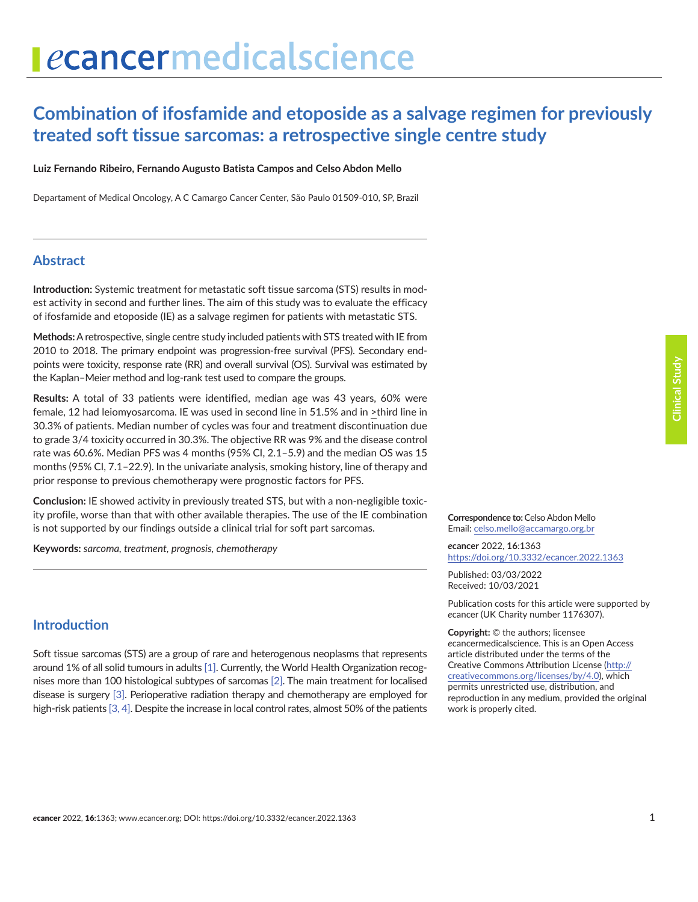# ecancermedicalscience

# **Combination of ifosfamide and etoposide as a salvage regimen for previously treated soft tissue sarcomas: a retrospective single centre study**

**Luiz Fernando Ribeiro, Fernando Augusto Batista Campos and Celso Abdon Mello**

Departament of Medical Oncology, A C Camargo Cancer Center, São Paulo 01509-010, SP, Brazil

#### **Abstract**

**Introduction:** Systemic treatment for metastatic soft tissue sarcoma (STS) results in modest activity in second and further lines. The aim of this study was to evaluate the efficacy of ifosfamide and etoposide (IE) as a salvage regimen for patients with metastatic STS.

**Methods:** A retrospective, single centre study included patients with STS treated with IE from 2010 to 2018. The primary endpoint was progression-free survival (PFS). Secondary endpoints were toxicity, response rate (RR) and overall survival (OS). Survival was estimated by the Kaplan–Meier method and log-rank test used to compare the groups.

**Results:** A total of 33 patients were identified, median age was 43 years, 60% were female, 12 had leiomyosarcoma. IE was used in second line in 51.5% and in >third line in 30.3% of patients. Median number of cycles was four and treatment discontinuation due to grade 3/4 toxicity occurred in 30.3%. The objective RR was 9% and the disease control rate was 60.6%. Median PFS was 4 months (95% CI, 2.1–5.9) and the median OS was 15 months (95% CI, 7.1–22.9). In the univariate analysis, smoking history, line of therapy and prior response to previous chemotherapy were prognostic factors for PFS.

**Conclusion:** IE showed activity in previously treated STS, but with a non-negligible toxicity profile, worse than that with other available therapies. The use of the IE combination is not supported by our findings outside a clinical trial for soft part sarcomas.

**Keywords:** *sarcoma, treatment, prognosis, chemotherapy*

#### **Introduction**

Soft tissue sarcomas (STS) are a group of rare and heterogenous neoplasms that represents around 1% of all solid tumours in adults [\[1\]](#page-9-0). Currently, the World Health Organization recognises more than 100 histological subtypes of sarcomas [\[2\].](#page-9-0) The main treatment for localised disease is surgery [\[3\]](#page-9-0). Perioperative radiation therapy and chemotherapy are employed for high-risk patients [\[3, 4\]](#page-9-0). Despite the increase in local control rates, almost 50% of the patients

**Correspondence to:**Celso Abdon Mello Email: celso.mello@accamargo.org.br

*e***cancer** 2022, **16**:1363 [https://doi.org/10.3332/ecancer.2022.136](https://doi.org/10.3332/ecancer.2022.1363)3

Published: 03/03/2022 Received: 10/03/2021

Publication costs for this article were supported by *e*cancer (UK Charity number 1176307).

**Copyright:** © the authors; licensee *e*cancermedicalscience. This is an Open Access article distributed under the terms of the Creative Commons Attribution License (http:// creativecommons.org/licenses/by/4.0), which permits unrestricted use, distribution, and reproduction in any medium, provided the original work is properly cited.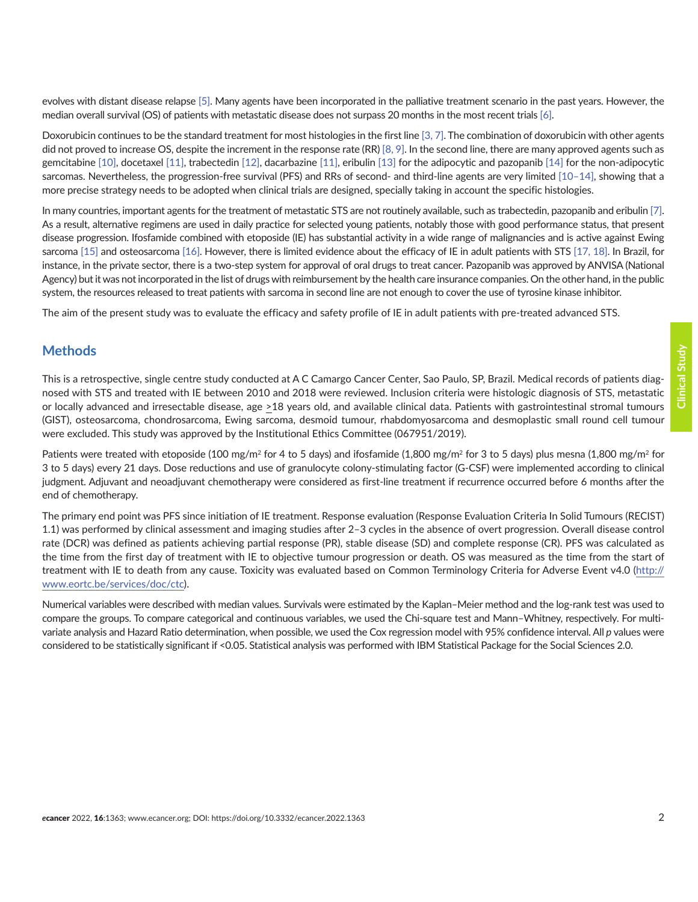evolves with distant disease relapse [\[5\]](#page-9-0). Many agents have been incorporated in the palliative treatment scenario in the past years. However, the median overall survival (OS) of patients with metastatic disease does not surpass 20 months in the most recent trials [\[6\]](#page-9-0).

Doxorubicin continues to be the standard treatment for most histologies in the first line [\[3, 7\]](#page-9-0). The combination of doxorubicin with other agents did not proved to increase OS, despite the increment in the response rate (RR) [\[8, 9\].](#page-9-0) In the second line, there are many approved agents such as gemcitabine [\[10\],](#page-9-0) docetaxel [\[11\]](#page-9-0), trabectedin [\[12\],](#page-9-0) dacarbazine [\[11\]](#page-9-0), eribulin [\[13\]](#page-9-0) for the adipocytic and pazopanib [\[14\]](#page-9-0) for the non-adipocytic sarcomas. Nevertheless, the progression-free survival (PFS) and RRs of second- and third-line agents are very limited [\[10–14\]](#page-9-0), showing that a more precise strategy needs to be adopted when clinical trials are designed, specially taking in account the specific histologies.

In many countries, important agents for the treatment of metastatic STS are not routinely available, such as trabectedin, pazopanib and eribulin [\[7\].](#page-9-0) As a result, alternative regimens are used in daily practice for selected young patients, notably those with good performance status, that present disease progression. Ifosfamide combined with etoposide (IE) has substantial activity in a wide range of malignancies and is active against Ewing sarcoma [\[15\]](#page-9-0) and osteosarcoma [\[16\]](#page-10-0). However, there is limited evidence about the efficacy of IE in adult patients with STS [\[17, 18\]](#page-10-0). In Brazil, for instance, in the private sector, there is a two-step system for approval of oral drugs to treat cancer. Pazopanib was approved by ANVISA (National Agency) but it was not incorporated in the list of drugs with reimbursement by the health care insurance companies. On the other hand, in the public system, the resources released to treat patients with sarcoma in second line are not enough to cover the use of tyrosine kinase inhibitor.

The aim of the present study was to evaluate the efficacy and safety profile of IE in adult patients with pre-treated advanced STS.

#### **Methods**

Clinical Study **Clinical Study**

This is a retrospective, single centre study conducted at A C Camargo Cancer Center, Sao Paulo, SP, Brazil. Medical records of patients diagnosed with STS and treated with IE between 2010 and 2018 were reviewed. Inclusion criteria were histologic diagnosis of STS, metastatic or locally advanced and irresectable disease, age >18 years old, and available clinical data. Patients with gastrointestinal stromal tumours (GIST), osteosarcoma, chondrosarcoma, Ewing sarcoma, desmoid tumour, rhabdomyosarcoma and desmoplastic small round cell tumour were excluded. This study was approved by the Institutional Ethics Committee (067951/2019).

Patients were treated with etoposide (100 mg/m<sup>2</sup> for 4 to 5 days) and ifosfamide (1,800 mg/m<sup>2</sup> for 3 to 5 days) plus mesna (1,800 mg/m<sup>2</sup> for 3 to 5 days) every 21 days. Dose reductions and use of granulocyte colony-stimulating factor (G-CSF) were implemented according to clinical judgment. Adjuvant and neoadjuvant chemotherapy were considered as first-line treatment if recurrence occurred before 6 months after the end of chemotherapy.

The primary end point was PFS since initiation of IE treatment. Response evaluation (Response Evaluation Criteria In Solid Tumours (RECIST) 1.1) was performed by clinical assessment and imaging studies after 2–3 cycles in the absence of overt progression. Overall disease control rate (DCR) was defined as patients achieving partial response (PR), stable disease (SD) and complete response (CR). PFS was calculated as the time from the first day of treatment with IE to objective tumour progression or death. OS was measured as the time from the start of treatment with IE to death from any cause. Toxicity was evaluated based on Common Terminology Criteria for Adverse Event v4.0 [\(http://](http://www.eortc.be/services/doc/ctc) [www.eortc.be/services/doc/ctc](http://www.eortc.be/services/doc/ctc)).

Numerical variables were described with median values. Survivals were estimated by the Kaplan–Meier method and the log-rank test was used to compare the groups. To compare categorical and continuous variables, we used the Chi-square test and Mann–Whitney, respectively. For multivariate analysis and Hazard Ratio determination, when possible, we used the Cox regression model with 95% confidence interval. All *p* values were considered to be statistically significant if <0.05. Statistical analysis was performed with IBM Statistical Package for the Social Sciences 2.0.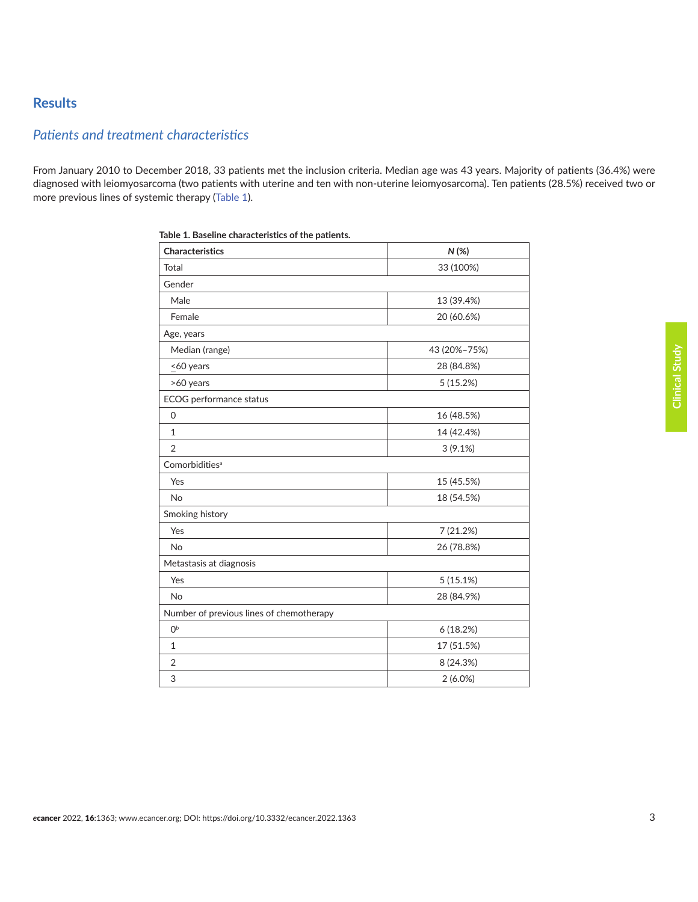### **Results**

## *Patients and treatment characteristics*

From January 2010 to December 2018, 33 patients met the inclusion criteria. Median age was 43 years. Majority of patients (36.4%) were diagnosed with leiomyosarcoma (two patients with uterine and ten with non-uterine leiomyosarcoma). Ten patients (28.5%) received two or more previous lines of systemic therapy [\(Table 1](#page-3-0)).

| <b>Characteristics</b>                   | N(%)         |  |  |  |
|------------------------------------------|--------------|--|--|--|
| Total                                    | 33 (100%)    |  |  |  |
| Gender                                   |              |  |  |  |
| Male                                     | 13 (39.4%)   |  |  |  |
| Female                                   | 20 (60.6%)   |  |  |  |
| Age, years                               |              |  |  |  |
| Median (range)                           | 43 (20%-75%) |  |  |  |
| <60 years                                | 28 (84.8%)   |  |  |  |
| >60 years                                | 5(15.2%)     |  |  |  |
| ECOG performance status                  |              |  |  |  |
| 0                                        | 16 (48.5%)   |  |  |  |
| $\mathbf{1}$                             | 14 (42.4%)   |  |  |  |
| $\overline{2}$                           | 3(9.1%)      |  |  |  |
| Comorbidities <sup>a</sup>               |              |  |  |  |
| Yes                                      | 15 (45.5%)   |  |  |  |
| <b>No</b>                                | 18 (54.5%)   |  |  |  |
| Smoking history                          |              |  |  |  |
| Yes                                      | 7 (21.2%)    |  |  |  |
| <b>No</b>                                | 26 (78.8%)   |  |  |  |
| Metastasis at diagnosis                  |              |  |  |  |
| Yes                                      | 5(15.1%)     |  |  |  |
| <b>No</b>                                | 28 (84.9%)   |  |  |  |
| Number of previous lines of chemotherapy |              |  |  |  |
| 0 <sup>b</sup>                           | 6(18.2%)     |  |  |  |
| $\mathbf{1}$                             | 17 (51.5%)   |  |  |  |
| $\overline{2}$                           | 8 (24.3%)    |  |  |  |
| 3                                        | 2(6.0%)      |  |  |  |

|  | Table 1. Baseline characteristics of the patients. |  |  |  |
|--|----------------------------------------------------|--|--|--|
|  |                                                    |  |  |  |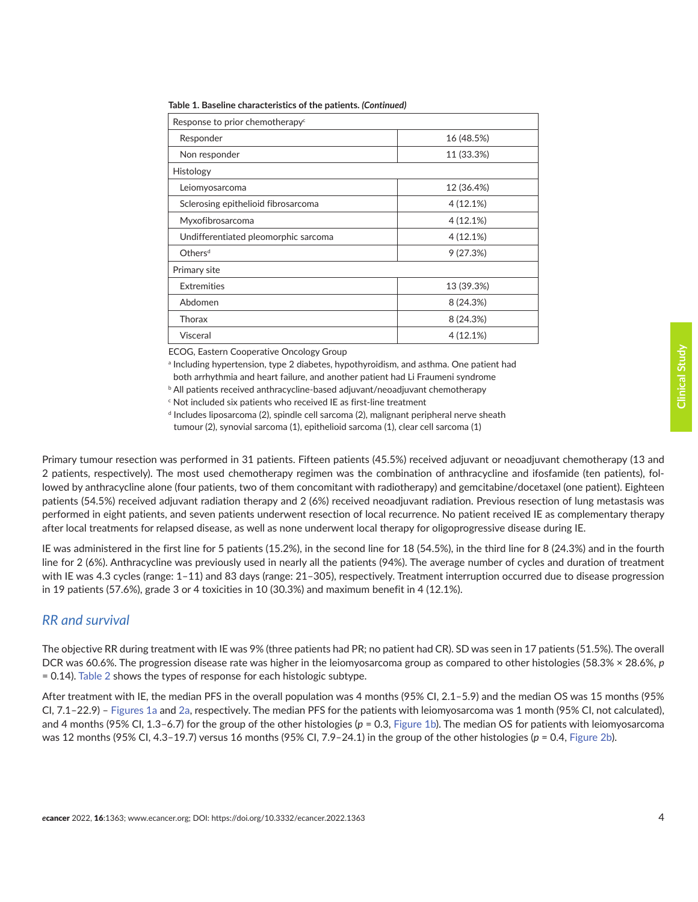| Response to prior chemotherapy <sup>c</sup> |            |  |  |  |
|---------------------------------------------|------------|--|--|--|
| Responder                                   | 16 (48.5%) |  |  |  |
| Non responder                               | 11 (33.3%) |  |  |  |
| <b>Histology</b>                            |            |  |  |  |
| Leiomyosarcoma                              | 12 (36.4%) |  |  |  |
| Sclerosing epithelioid fibrosarcoma         | 4(12.1%)   |  |  |  |
| Myxofibrosarcoma                            | 4(12.1%)   |  |  |  |
| Undifferentiated pleomorphic sarcoma        | 4(12.1%)   |  |  |  |
| Others <sup>d</sup>                         | 9(27.3%)   |  |  |  |
| Primary site                                |            |  |  |  |
| <b>Extremities</b>                          | 13 (39.3%) |  |  |  |
| Abdomen                                     | 8 (24.3%)  |  |  |  |
| Thorax                                      | 8 (24.3%)  |  |  |  |
| Visceral                                    | 4 (12.1%)  |  |  |  |

<span id="page-3-0"></span>**Table 1. Baseline characteristics of the patients.** *(Continued)*

ECOG, Eastern Cooperative Oncology Group

<sup>a</sup> Including hypertension, type 2 diabetes, hypothyroidism, and asthma. One patient had

both arrhythmia and heart failure, and another patient had Li Fraumeni syndrome

b All patients received anthracycline-based adjuvant/neoadjuvant chemotherapy

 $\mathop{\varepsilon}\nolimits$  Not included six patients who received IE as first-line treatment

<sup>d</sup> Includes liposarcoma (2), spindle cell sarcoma (2), malignant peripheral nerve sheath tumour (2), synovial sarcoma (1), epithelioid sarcoma (1), clear cell sarcoma (1)

Primary tumour resection was performed in 31 patients. Fifteen patients (45.5%) received adjuvant or neoadjuvant chemotherapy (13 and 2 patients, respectively). The most used chemotherapy regimen was the combination of anthracycline and ifosfamide (ten patients), followed by anthracycline alone (four patients, two of them concomitant with radiotherapy) and gemcitabine/docetaxel (one patient). Eighteen patients (54.5%) received adjuvant radiation therapy and 2 (6%) received neoadjuvant radiation. Previous resection of lung metastasis was performed in eight patients, and seven patients underwent resection of local recurrence. No patient received IE as complementary therapy after local treatments for relapsed disease, as well as none underwent local therapy for oligoprogressive disease during IE.

IE was administered in the first line for 5 patients (15.2%), in the second line for 18 (54.5%), in the third line for 8 (24.3%) and in the fourth line for 2 (6%). Anthracycline was previously used in nearly all the patients (94%). The average number of cycles and duration of treatment with IE was 4.3 cycles (range: 1–11) and 83 days (range: 21–305), respectively. Treatment interruption occurred due to disease progression in 19 patients (57.6%), grade 3 or 4 toxicities in 10 (30.3%) and maximum benefit in 4 (12.1%).

#### *RR and survival*

The objective RR during treatment with IE was 9% (three patients had PR; no patient had CR). SD was seen in 17 patients (51.5%). The overall DCR was 60.6%. The progression disease rate was higher in the leiomyosarcoma group as compared to other histologies (58.3% × 28.6%, *p* = 0.14). [Table 2](#page-4-0) shows the types of response for each histologic subtype.

After treatment with IE, the median PFS in the overall population was 4 months (95% CI, 2.1–5.9) and the median OS was 15 months (95% CI, 7.1–22.9) – [Figures 1a](#page-5-0) and [2a,](#page-6-0) respectively. The median PFS for the patients with leiomyosarcoma was 1 month (95% CI, not calculated), and 4 months (95% CI, 1.3–6.7) for the group of the other histologies (*p* = 0.3, [Figure 1b\)](#page-5-0). The median OS for patients with leiomyosarcoma was 12 months (95% CI, 4.3–19.7) versus 16 months (95% CI, 7.9–24.1) in the group of the other histologies (*p* = 0.4, [Figure 2b\)](#page-6-0).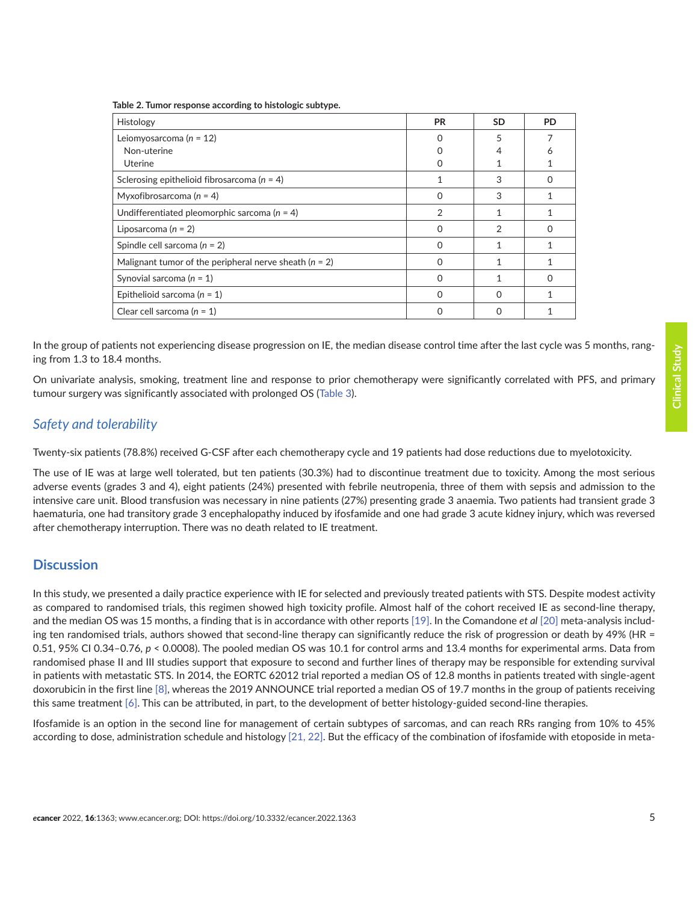| Histology                                                | <b>PR</b> | <b>SD</b>      | <b>PD</b> |
|----------------------------------------------------------|-----------|----------------|-----------|
| Leiomyosarcoma ( $n = 12$ )                              |           | 5              |           |
| Non-uterine                                              |           |                | Ô         |
| Uterine                                                  |           |                |           |
| Sclerosing epithelioid fibrosarcoma ( $n = 4$ )          |           | 3              | $\Omega$  |
| Myxofibrosarcoma ( $n = 4$ )                             | 0         | 3              |           |
| Undifferentiated pleomorphic sarcoma ( $n = 4$ )         | 2         |                |           |
| Liposarcoma ( $n = 2$ )                                  | 0         | $\mathfrak{D}$ | $\Omega$  |
| Spindle cell sarcoma ( $n = 2$ )                         | O         |                |           |
| Malignant tumor of the peripheral nerve sheath $(n = 2)$ | Ω         |                |           |
| Synovial sarcoma ( $n = 1$ )                             | O         |                | O         |
| Epithelioid sarcoma ( $n = 1$ )                          | O         | $\Omega$       |           |
| Clear cell sarcoma ( $n = 1$ )                           | O         | $\Omega$       |           |
|                                                          |           |                |           |

<span id="page-4-0"></span>**Table 2. Tumor response according to histologic subtype.**

In the group of patients not experiencing disease progression on IE, the median disease control time after the last cycle was 5 months, ranging from 1.3 to 18.4 months.

On univariate analysis, smoking, treatment line and response to prior chemotherapy were significantly correlated with PFS, and primary tumour surgery was significantly associated with prolonged OS [\(Table 3](#page-7-0)).

#### *Safety and tolerability*

Twenty-six patients (78.8%) received G-CSF after each chemotherapy cycle and 19 patients had dose reductions due to myelotoxicity.

The use of IE was at large well tolerated, but ten patients (30.3%) had to discontinue treatment due to toxicity. Among the most serious adverse events (grades 3 and 4), eight patients (24%) presented with febrile neutropenia, three of them with sepsis and admission to the intensive care unit. Blood transfusion was necessary in nine patients (27%) presenting grade 3 anaemia. Two patients had transient grade 3 haematuria, one had transitory grade 3 encephalopathy induced by ifosfamide and one had grade 3 acute kidney injury, which was reversed after chemotherapy interruption. There was no death related to IE treatment.

#### **Discussion**

In this study, we presented a daily practice experience with IE for selected and previously treated patients with STS. Despite modest activity as compared to randomised trials, this regimen showed high toxicity profile. Almost half of the cohort received IE as second-line therapy, and the median OS was 15 months, a finding that is in accordance with other reports [\[19\].](#page-10-0) In the Comandone *et al* [\[20\]](#page-10-0) meta-analysis including ten randomised trials, authors showed that second-line therapy can significantly reduce the risk of progression or death by 49% (HR = 0.51, 95% CI 0.34–0.76, *p* < 0.0008). The pooled median OS was 10.1 for control arms and 13.4 months for experimental arms. Data from randomised phase II and III studies support that exposure to second and further lines of therapy may be responsible for extending survival in patients with metastatic STS. In 2014, the EORTC 62012 trial reported a median OS of 12.8 months in patients treated with single-agent doxorubicin in the first line [\[8\],](#page-9-0) whereas the 2019 ANNOUNCE trial reported a median OS of 19.7 months in the group of patients receiving this same treatment [\[6\].](#page-9-0) This can be attributed, in part, to the development of better histology-guided second-line therapies.

Ifosfamide is an option in the second line for management of certain subtypes of sarcomas, and can reach RRs ranging from 10% to 45% according to dose, administration schedule and histology [\[21, 22\].](#page-10-0) But the efficacy of the combination of ifosfamide with etoposide in meta-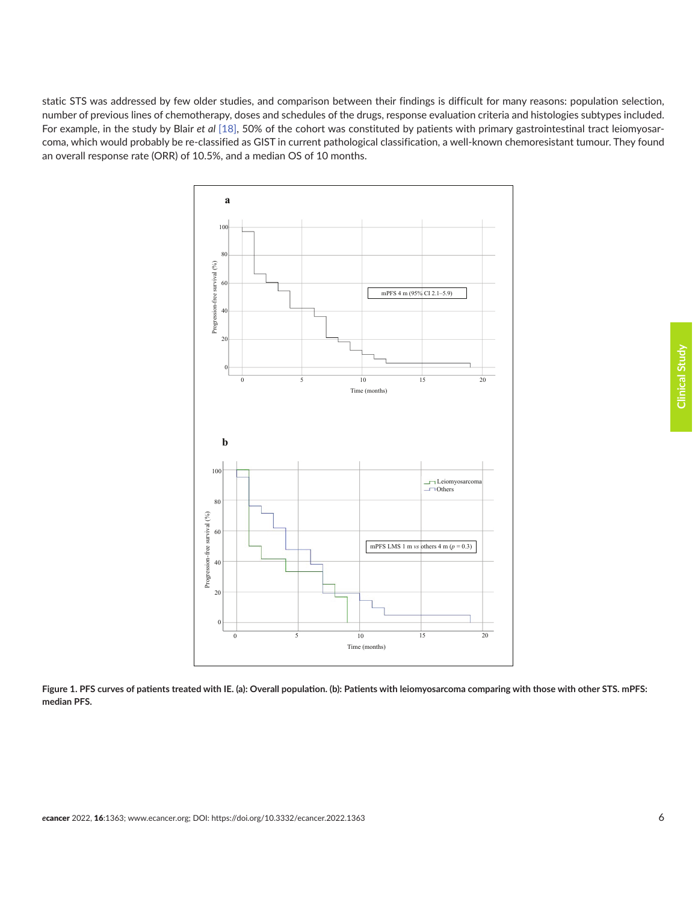<span id="page-5-0"></span>static STS was addressed by few older studies, and comparison between their findings is difficult for many reasons: population selection, number of previous lines of chemotherapy, doses and schedules of the drugs, response evaluation criteria and histologies subtypes included. For example, in the study by Blair et al [\[18\],](#page-10-0) 50% of the cohort was constituted by patients with primary gastrointestinal tract leiomyosarcoma, which would probably be re-classified as GIST in current pathological classification, a well-known chemoresistant tumour. They found an overall response rate (ORR) of 10.5%, and a median OS of 10 months.



**Figure 1. PFS curves of patients treated with IE. (a): Overall population. (b): Patients with leiomyosarcoma comparing with those with other STS. mPFS: median PFS.**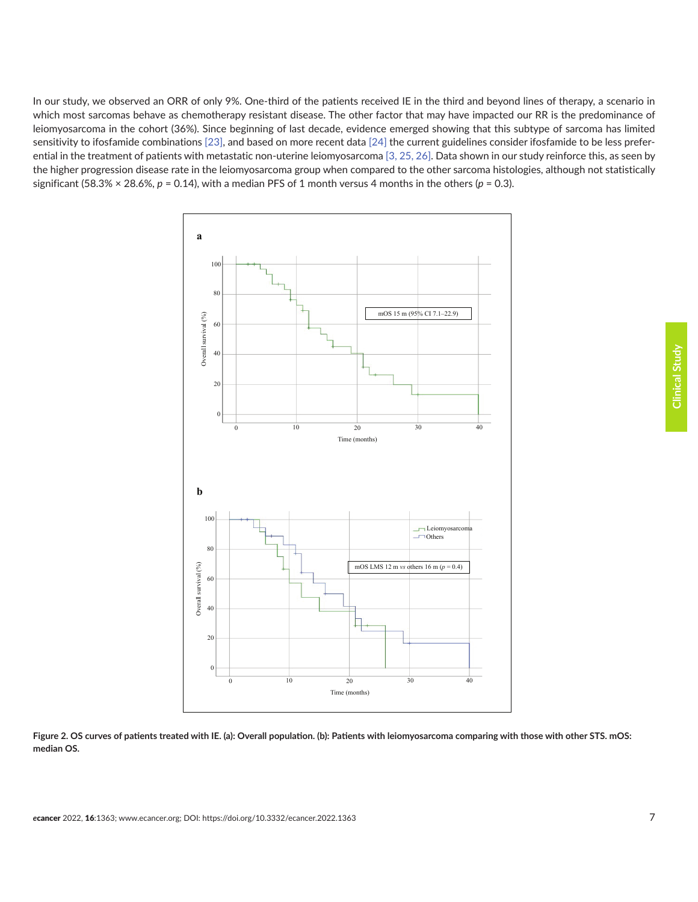<span id="page-6-0"></span>In our study, we observed an ORR of only 9%. One-third of the patients received IE in the third and beyond lines of therapy, a scenario in which most sarcomas behave as chemotherapy resistant disease. The other factor that may have impacted our RR is the predominance of leiomyosarcoma in the cohort (36%). Since beginning of last decade, evidence emerged showing that this subtype of sarcoma has limited sensitivity to ifosfamide combinations [\[23\],](#page-10-0) and based on more recent data [\[24\]](#page-10-0) the current guidelines consider ifosfamide to be less preferential in the treatment of patients with metastatic non-uterine leiomyosarcoma [\[3,](#page-9-0) [25, 26\]](#page-10-0). Data shown in our study reinforce this, as seen by **Figure 1. PFS curves of patients treated with IE. (a): Overall population. (b):**  the higher progression disease rate in the leiomyosarcoma group when compared to the other sarcoma histologies, although not statistically significant (58.3%  $\times$  28.6%,  $p$  = 0.14), with a median PFS of 1 month versus 4 months in the others ( $p$  = 0.3).



**Figure 2. OS curves of patients treated with IE. (a): Overall population. (b): Patients with leiomyosarcoma comparing with those with other STS. mOS: median OS.**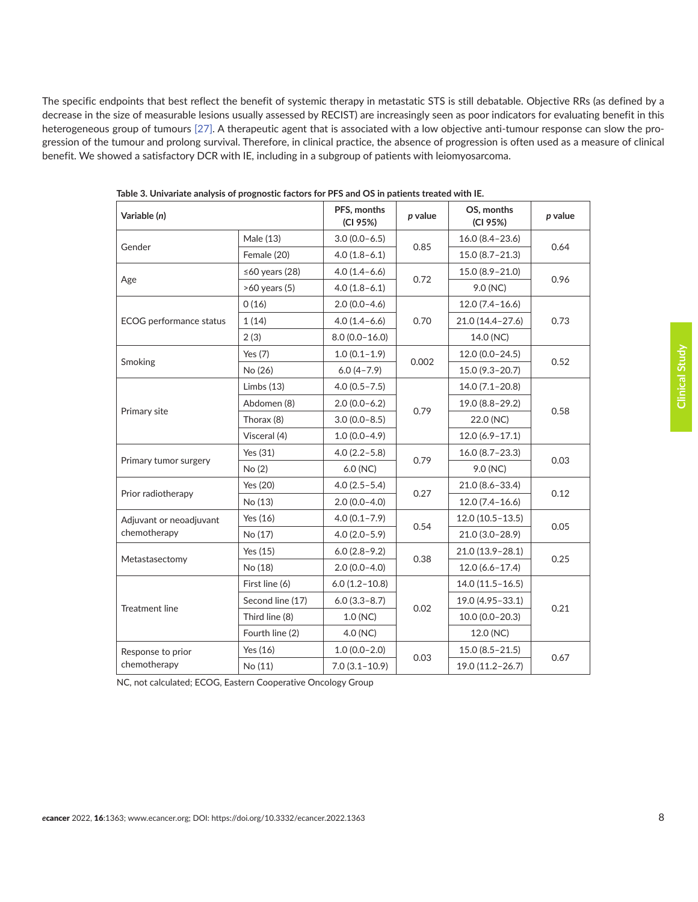<span id="page-7-0"></span>The specific endpoints that best reflect the benefit of systemic therapy in metastatic STS is still debatable. Objective RRs (as defined by a decrease in the size of measurable lesions usually assessed by RECIST) are increasingly seen as poor indicators for evaluating benefit in this heterogeneous group of tumours [\[27\].](#page-10-0) A therapeutic agent that is associated with a low objective anti-tumour response can slow the progression of the tumour and prolong survival. Therefore, in clinical practice, the absence of progression is often used as a measure of clinical benefit. We showed a satisfactory DCR with IE, including in a subgroup of patients with leiomyosarcoma.

| Variable (n)                            |                      | PFS, months<br>(CI 95%) | p value | OS, months<br>(CI 95%) | p value |  |
|-----------------------------------------|----------------------|-------------------------|---------|------------------------|---------|--|
|                                         | Male (13)            | $3.0(0.0-6.5)$          |         | $16.0(8.4-23.6)$       | 0.64    |  |
| Gender                                  | Female (20)          | $4.0(1.8-6.1)$          | 0.85    | $15.0(8.7 - 21.3)$     |         |  |
| Age                                     | $\leq 60$ years (28) | $4.0(1.4-6.6)$          |         | 15.0 (8.9-21.0)        | 0.96    |  |
|                                         | >60 years (5)        | $4.0(1.8-6.1)$          | 0.72    | 9.0 (NC)               |         |  |
|                                         | 0(16)                | $2.0(0.0-4.6)$          |         | $12.0(7.4-16.6)$       |         |  |
| ECOG performance status                 | 1(14)                | $4.0(1.4-6.6)$          | 0.70    | 21.0 (14.4-27.6)       | 0.73    |  |
|                                         | 2(3)                 | $8.0(0.0-16.0)$         |         | 14.0 (NC)              |         |  |
| Smoking                                 | Yes $(7)$            | $1.0(0.1-1.9)$          |         | $12.0(0.0-24.5)$       | 0.52    |  |
|                                         | No (26)              | $6.0(4 - 7.9)$          | 0.002   | 15.0 (9.3-20.7)        |         |  |
|                                         | Limbs $(13)$         | $4.0(0.5 - 7.5)$        |         | 14.0 (7.1-20.8)        |         |  |
| Primary site                            | Abdomen (8)          | $2.0(0.0-6.2)$          | 0.79    | 19.0 (8.8-29.2)        | 0.58    |  |
|                                         | Thorax (8)           | $3.0(0.0 - 8.5)$        |         | 22.0 (NC)              |         |  |
|                                         | Visceral (4)         | $1.0(0.0-4.9)$          |         | $12.0(6.9 - 17.1)$     |         |  |
|                                         | Yes (31)             | $4.0(2.2 - 5.8)$        |         | $16.0 (8.7 - 23.3)$    |         |  |
| Primary tumor surgery                   | No(2)                | $6.0$ (NC)              | 0.79    | 9.0 (NC)               | 0.03    |  |
| Prior radiotherapy                      | Yes (20)             | $4.0(2.5-5.4)$          |         | $21.0(8.6 - 33.4)$     | 0.12    |  |
|                                         | No (13)              | $2.0(0.0-4.0)$          | 0.27    | $12.0(7.4-16.6)$       |         |  |
| Adjuvant or neoadjuvant<br>chemotherapy | Yes $(16)$           | $4.0(0.1 - 7.9)$        | 0.54    | $12.0(10.5 - 13.5)$    | 0.05    |  |
|                                         | No (17)              | $4.0(2.0-5.9)$          |         | $21.0(3.0-28.9)$       |         |  |
| Metastasectomy                          | Yes (15)             | $6.0(2.8-9.2)$          |         | 21.0 (13.9-28.1)       | 0.25    |  |
|                                         | No (18)              | $2.0(0.0-4.0)$          | 0.38    | $12.0(6.6 - 17.4)$     |         |  |
|                                         | First line (6)       | $6.0(1.2 - 10.8)$       |         | $14.0(11.5 - 16.5)$    |         |  |
| <b>Treatment line</b>                   | Second line (17)     | $6.0(3.3-8.7)$          | 0.02    | 19.0 (4.95-33.1)       | 0.21    |  |
|                                         | Third line (8)       | 1.0 (NC)                |         | $10.0(0.0-20.3)$       |         |  |
|                                         | Fourth line (2)      | 4.0 (NC)                |         | 12.0 (NC)              |         |  |
| Response to prior                       | Yes (16)             | $1.0(0.0-2.0)$          |         | $15.0(8.5 - 21.5)$     |         |  |
| chemotherapy                            | No (11)              | $7.0(3.1-10.9)$         | 0.03    | 19.0 (11.2-26.7)       | 0.67    |  |

**Table 3. Univariate analysis of prognostic factors for PFS and OS in patients treated with IE.**

NC, not calculated; ECOG, Eastern Cooperative Oncology Group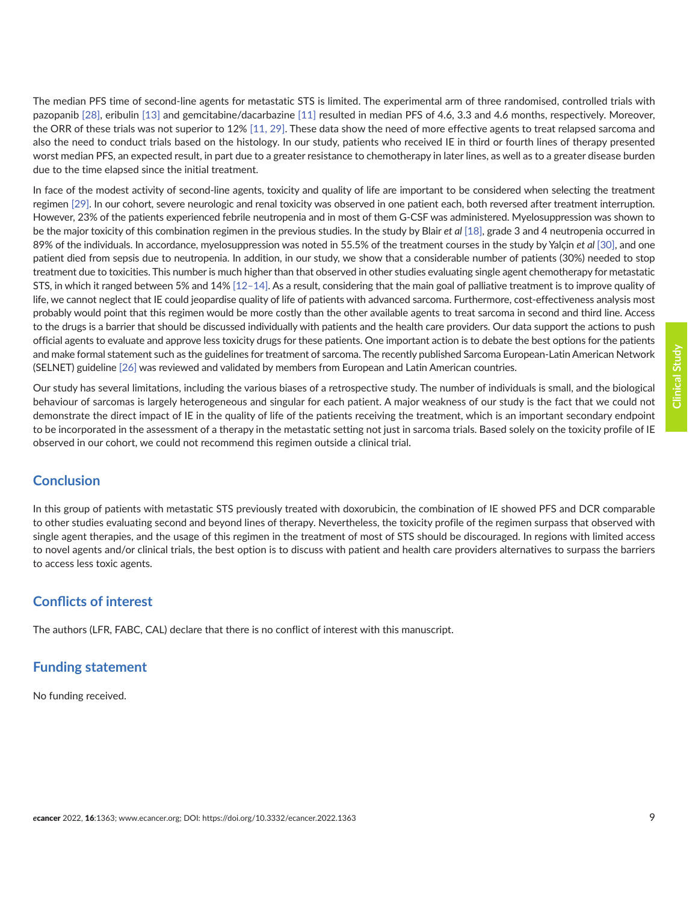The median PFS time of second-line agents for metastatic STS is limited. The experimental arm of three randomised, controlled trials with pazopanib [\[28\],](#page-10-0) eribulin [\[13\]](#page-9-0) and gemcitabine/dacarbazine [\[11\]](#page-9-0) resulted in median PFS of 4.6, 3.3 and 4.6 months, respectively. Moreover, the ORR of these trials was not superior to 12% [\[11,](#page-9-0) [29\]](#page-10-0). These data show the need of more effective agents to treat relapsed sarcoma and also the need to conduct trials based on the histology. In our study, patients who received IE in third or fourth lines of therapy presented worst median PFS, an expected result, in part due to a greater resistance to chemotherapy in later lines, as well as to a greater disease burden due to the time elapsed since the initial treatment.

In face of the modest activity of second-line agents, toxicity and quality of life are important to be considered when selecting the treatment regimen [\[29\]](#page-10-0). In our cohort, severe neurologic and renal toxicity was observed in one patient each, both reversed after treatment interruption. However, 23% of the patients experienced febrile neutropenia and in most of them G-CSF was administered. Myelosuppression was shown to be the major toxicity of this combination regimen in the previous studies. In the study by Blair *et al* [\[18\]](#page-10-0), grade 3 and 4 neutropenia occurred in 89% of the individuals. In accordance, myelosuppression was noted in 55.5% of the treatment courses in the study by Yalçin *et al* [\[30\]](#page-10-0), and one patient died from sepsis due to neutropenia. In addition, in our study, we show that a considerable number of patients (30%) needed to stop treatment due to toxicities. This number is much higher than that observed in other studies evaluating single agent chemotherapy for metastatic STS, in which it ranged between 5% and 14% [\[12–14\]](#page-9-0). As a result, considering that the main goal of palliative treatment is to improve quality of life, we cannot neglect that IE could jeopardise quality of life of patients with advanced sarcoma. Furthermore, cost-effectiveness analysis most probably would point that this regimen would be more costly than the other available agents to treat sarcoma in second and third line. Access to the drugs is a barrier that should be discussed individually with patients and the health care providers. Our data support the actions to push official agents to evaluate and approve less toxicity drugs for these patients. One important action is to debate the best options for the patients and make formal statement such as the guidelines for treatment of sarcoma. The recently published Sarcoma European-Latin American Network (SELNET) guideline [\[26\]](#page-10-0) was reviewed and validated by members from European and Latin American countries.

Our study has several limitations, including the various biases of a retrospective study. The number of individuals is small, and the biological behaviour of sarcomas is largely heterogeneous and singular for each patient. A major weakness of our study is the fact that we could not demonstrate the direct impact of IE in the quality of life of the patients receiving the treatment, which is an important secondary endpoint to be incorporated in the assessment of a therapy in the metastatic setting not just in sarcoma trials. Based solely on the toxicity profile of IE observed in our cohort, we could not recommend this regimen outside a clinical trial.

#### **Conclusion**

In this group of patients with metastatic STS previously treated with doxorubicin, the combination of IE showed PFS and DCR comparable to other studies evaluating second and beyond lines of therapy. Nevertheless, the toxicity profile of the regimen surpass that observed with single agent therapies, and the usage of this regimen in the treatment of most of STS should be discouraged. In regions with limited access to novel agents and/or clinical trials, the best option is to discuss with patient and health care providers alternatives to surpass the barriers to access less toxic agents.

#### **Conflicts of interest**

The authors (LFR, FABC, CAL) declare that there is no conflict of interest with this manuscript.

#### **Funding statement**

No funding received.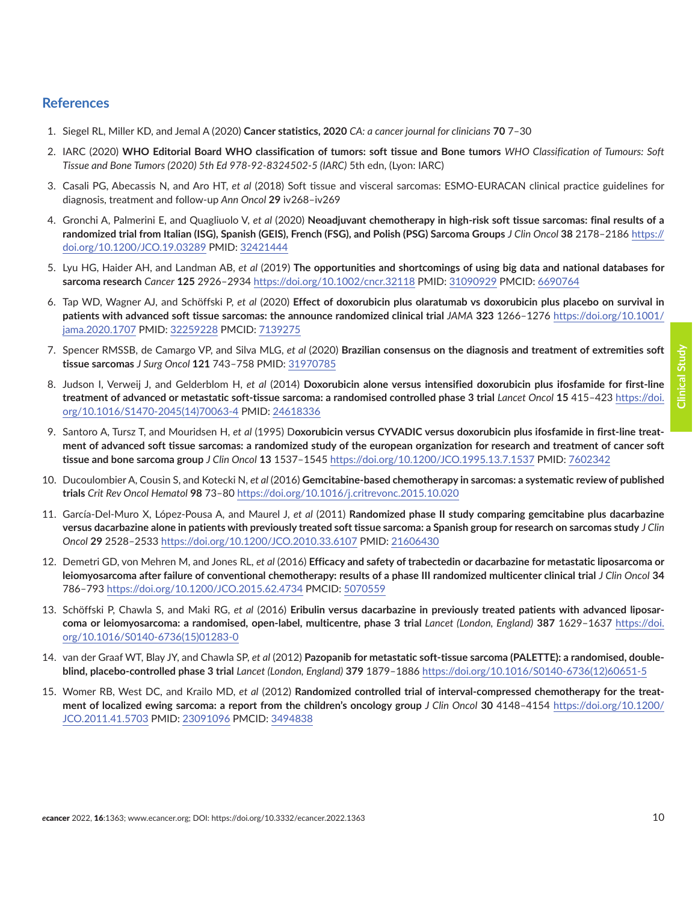#### <span id="page-9-0"></span>**References**

- 1. Siegel RL, Miller KD, and Jemal A (2020) **Cancer statistics, 2020** *CA: a cancer journal for clinicians* **70** 7–30
- 2. IARC (2020) **WHO Editorial Board WHO classification of tumors: soft tissue and Bone tumors** *WHO Classification of Tumours: Soft Tissue and Bone Tumors (2020) 5th Ed 978‐92-8324502‐5 (IARC)* 5th edn, (Lyon: IARC)
- 3. Casali PG, Abecassis N, and Aro HT, *et al* (2018) Soft tissue and visceral sarcomas: ESMO-EURACAN clinical practice guidelines for diagnosis, treatment and follow-up *Ann Oncol* **29** iv268–iv269
- 4. Gronchi A, Palmerini E, and Quagliuolo V, *et al* (2020) **Neoadjuvant chemotherapy in high-risk soft tissue sarcomas: final results of a randomized trial from Italian (ISG), Spanish (GEIS), French (FSG), and Polish (PSG) Sarcoma Groups** *J Clin Oncol* **38** 2178–2186 [https://](https://doi.org/10.1200/JCO.19.03289) [doi.org/10.1200/JCO.19.03289](https://doi.org/10.1200/JCO.19.03289) PMID: [32421444](http://www.ncbi.nlm.nih.gov/pubmed/32421444)
- 5. Lyu HG, Haider AH, and Landman AB, *et al* (2019) **The opportunities and shortcomings of using big data and national databases for sarcoma research** *Cancer* **125** 2926–2934 <https://doi.org/10.1002/cncr.32118> PMID: [31090929](http://www.ncbi.nlm.nih.gov/pubmed/31090929) PMCID: [6690764](http://www.ncbi.nlm.nih.gov/pmc/articles/PMC6690764)
- 6. Tap WD, Wagner AJ, and Schöffski P, *et al* (2020) **Effect of doxorubicin plus olaratumab vs doxorubicin plus placebo on survival in patients with advanced soft tissue sarcomas: the announce randomized clinical trial** *JAMA* **323** 1266–1276 [https://doi.org/10.1001/](https://doi.org/10.1001/jama.2020.1707) [jama.2020.1707](https://doi.org/10.1001/jama.2020.1707) PMID: [32259228](http://www.ncbi.nlm.nih.gov/pubmed/32259228) PMCID: [7139275](http://www.ncbi.nlm.nih.gov/pmc/articles/PMC7139275)
- 7. Spencer RMSSB, de Camargo VP, and Silva MLG, *et al* (2020) **Brazilian consensus on the diagnosis and treatment of extremities soft tissue sarcomas** *J Surg Oncol* **121** 743–758 PMID: [31970785](http://www.ncbi.nlm.nih.gov/pubmed/31970785)
- 8. Judson I, Verweij J, and Gelderblom H, *et al* (2014) **Doxorubicin alone versus intensified doxorubicin plus ifosfamide for first-line treatment of advanced or metastatic soft-tissue sarcoma: a randomised controlled phase 3 trial** *Lancet Oncol* **15** 415–423 [https://doi.](https://doi.org/10.1016/S1470-2045(14)70063-4) [org/10.1016/S1470-2045\(14\)70063-4](https://doi.org/10.1016/S1470-2045(14)70063-4) PMID: [24618336](http://www.ncbi.nlm.nih.gov/pubmed/24618336)
- 9. Santoro A, Tursz T, and Mouridsen H, *et al* (1995) D**oxorubicin versus CYVADIC versus doxorubicin plus ifosfamide in first-line treatment of advanced soft tissue sarcomas: a randomized study of the european organization for research and treatment of cancer soft tissue and bone sarcoma group** *J Clin Oncol* **13** 1537–1545 <https://doi.org/10.1200/JCO.1995.13.7.1537> PMID: [7602342](http://www.ncbi.nlm.nih.gov/pubmed/7602342)
- 10. Ducoulombier A, Cousin S, and Kotecki N, *et al* (2016) **Gemcitabine-based chemotherapy in sarcomas: a systematic review of published trials** *Crit Rev Oncol Hematol* **98** 73–80<https://doi.org/10.1016/j.critrevonc.2015.10.020>
- 11. García-Del-Muro X, López-Pousa A, and Maurel J, *et al* (2011) **Randomized phase II study comparing gemcitabine plus dacarbazine versus dacarbazine alone in patients with previously treated soft tissue sarcoma: a Spanish group for research on sarcomas study** *J Clin Oncol* **29** 2528–2533<https://doi.org/10.1200/JCO.2010.33.6107> PMID: [21606430](http://www.ncbi.nlm.nih.gov/pubmed/21606430)
- 12. Demetri GD, von Mehren M, and Jones RL, *et al* (2016) **Efficacy and safety of trabectedin or dacarbazine for metastatic liposarcoma or leiomyosarcoma after failure of conventional chemotherapy: results of a phase III randomized multicenter clinical trial** *J Clin Oncol* **34** 786–793 <https://doi.org/10.1200/JCO.2015.62.4734>PMCID: [5070559](http://www.ncbi.nlm.nih.gov/pmc/articles/PMC5070559)
- 13. Schöffski P, Chawla S, and Maki RG, *et al* (2016) **Eribulin versus dacarbazine in previously treated patients with advanced liposarcoma or leiomyosarcoma: a randomised, open-label, multicentre, phase 3 trial** *Lancet (London, England)* **387** 1629–1637 [https://doi.](https://doi.org/10.1016/S0140-6736(15)01283-0) [org/10.1016/S0140-6736\(15\)01283-0](https://doi.org/10.1016/S0140-6736(15)01283-0)
- 14. van der Graaf WT, Blay JY, and Chawla SP, *et al* (2012) **Pazopanib for metastatic soft-tissue sarcoma (PALETTE): a randomised, doubleblind, placebo-controlled phase 3 trial** *Lancet (London, England)* **379** 1879–1886 [https://doi.org/10.1016/S0140-6736\(12\)60651-5](https://doi.org/10.1016/S0140-6736(12)60651-5)
- 15. Womer RB, West DC, and Krailo MD, *et al* (2012) **Randomized controlled trial of interval-compressed chemotherapy for the treatment of localized ewing sarcoma: a report from the children's oncology group** *J Clin Oncol* **30** 4148–4154 [https://doi.org/10.1200/](https://doi.org/10.1200/JCO.2011.41.5703) [JCO.2011.41.5703](https://doi.org/10.1200/JCO.2011.41.5703) PMID: [23091096](http://www.ncbi.nlm.nih.gov/pubmed/23091096) PMCID: [3494838](http://www.ncbi.nlm.nih.gov/pmc/articles/PMC3494838)